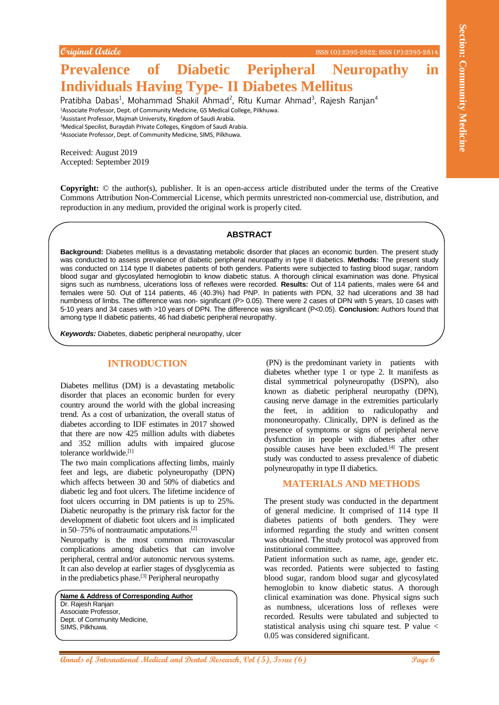#### **Original Article** ISSN (O):2395-2822; ISSN (P):2395-2814

# **Prevalence of Diabetic Peripheral Neuropathy in Individuals Having Type- II Diabetes Mellitus**

Pratibha Dabas<sup>1</sup>, Mohammad Shakil Ahmad<sup>2</sup>, Ritu Kumar Ahmad<sup>3</sup>, Rajesh Ranjan<sup>4</sup> <sup>1</sup>Associate Professor, Dept. of Community Medicine, GS Medical College, Pilkhuwa. <sup>2</sup>Assistant Professor, Majmah University, Kingdom of Saudi Arabia. <sup>3</sup>Medical Specilist, Buraydah Private Colleges, Kingdom of Saudi Arabia. <sup>4</sup>Associate Professor, Dept. of Community Medicine, SIMS, Pilkhuwa.

Received: August 2019 Accepted: September 2019

**Copyright:** © the author(s), publisher. It is an open-access article distributed under the terms of the Creative Commons Attribution Non-Commercial License, which permits unrestricted non-commercial use, distribution, and reproduction in any medium, provided the original work is properly cited.

#### **ABSTRACT**

**Community Control 2008 Community Control 2008 Community Control 2008 Community Control 2008 Community Control 2008 Control 2008 Control 2008 Control 2008 Control 2008 Control 2008 Control 2008 Contr Background:** Diabetes mellitus is a devastating metabolic disorder that places an economic burden. The present study was conducted to assess prevalence of diabetic peripheral neuropathy in type II diabetics. **Methods:** The present study was conducted on 114 type II diabetes patients of both genders. Patients were subjected to fasting blood sugar, random blood sugar and glycosylated hemoglobin to know diabetic status. A thorough clinical examination was done. Physical signs such as numbness, ulcerations loss of reflexes were recorded. **Results:** Out of 114 patients, males were 64 and females were 50. Out of 114 patients, 46 (40.3%) had PNP. In patients with PDN, 32 had ulcerations and 38 had numbness of limbs. The difference was non- significant (P> 0.05). There were 2 cases of DPN with 5 years, 10 cases with 5-10 years and 34 cases with >10 years of DPN. The difference was significant (P<0.05). **Conclusion:** Authors found that among type II diabetic patients, 46 had diabetic peripheral neuropathy.

*Keywords:* Diabetes, diabetic peripheral neuropathy, ulcer

# **INTRODUCTION**

Diabetes mellitus (DM) is a devastating metabolic disorder that places an economic burden for every country around the world with the global increasing trend. As a cost of urbanization, the overall status of diabetes according to IDF estimates in 2017 showed that there are now 425 million adults with diabetes and 352 million adults with impaired glucose tolerance worldwide.<sup>[1]</sup>

The two main complications affecting limbs, mainly feet and legs, are diabetic polyneuropathy (DPN) which affects between 30 and 50% of diabetics and diabetic leg and foot ulcers. The lifetime incidence of foot ulcers occurring in DM patients is up to 25%. Diabetic neuropathy is the primary risk factor for the development of diabetic foot ulcers and is implicated in 50–75% of nontraumatic amputations.[2]

Neuropathy is the most common microvascular complications among diabetics that can involve peripheral, central and/or autonomic nervous systems. It can also develop at earlier stages of dysglycemia as in the prediabetics phase.<sup>[3]</sup> Peripheral neuropathy

**Name & Address of Corresponding Author** Dr. Rajesh Ranjan Associate Professor, Dept. of Community Medicine, SIMS, Pilkhuwa.

(PN) is the predominant variety in patients with diabetes whether type 1 or type 2. It manifests as distal symmetrical polyneuropathy (DSPN), also known as diabetic peripheral neuropathy (DPN), causing nerve damage in the extremities particularly the feet, in addition to radiculopathy and mononeuropathy. Clinically, DPN is defined as the presence of symptoms or signs of peripheral nerve dysfunction in people with diabetes after other possible causes have been excluded.[4] The present study was conducted to assess prevalence of diabetic polyneuropathy in type II diabetics.

## **MATERIALS AND METHODS**

The present study was conducted in the department of general medicine. It comprised of 114 type II diabetes patients of both genders. They were informed regarding the study and written consent was obtained. The study protocol was approved from institutional committee.

Patient information such as name, age, gender etc. was recorded. Patients were subjected to fasting blood sugar, random blood sugar and glycosylated hemoglobin to know diabetic status. A thorough clinical examination was done. Physical signs such as numbness, ulcerations loss of reflexes were recorded. Results were tabulated and subjected to statistical analysis using chi square test. P value < 0.05 was considered significant.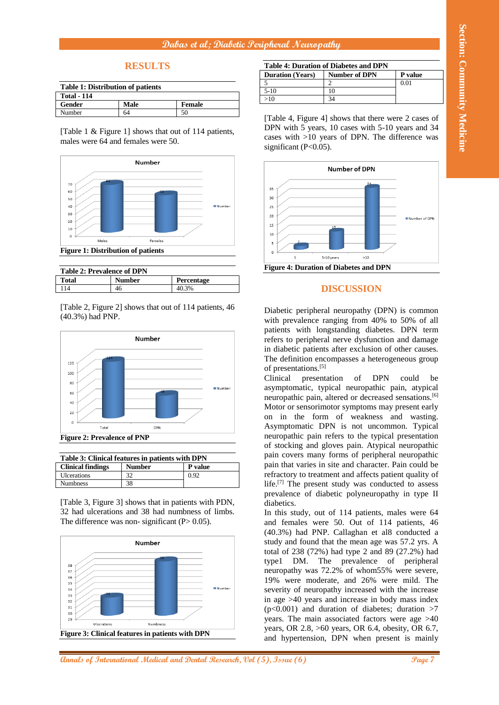### **Dabas et al; Diabetic Peripheral Neuropathy**

# **RESULTS**

| <b>Table 1: Distribution of patients</b> |      |               |  |
|------------------------------------------|------|---------------|--|
| <b>Total - 114</b>                       |      |               |  |
| Gender                                   | Male | <b>Female</b> |  |
| Number                                   | 64   | 50            |  |

[Table 1 & Figure 1] shows that out of 114 patients, males were 64 and females were 50.



| <b>Table 2: Prevalence of DPN</b> |               |                   |  |
|-----------------------------------|---------------|-------------------|--|
| <b>Total</b>                      | <b>Number</b> | <b>Percentage</b> |  |
| 114                               | 46            | 40.3%             |  |

[Table 2, Figure 2] shows that out of 114 patients, 46 (40.3%) had PNP.



| Table 3: Clinical features in patients with DPN |               |         |  |  |
|-------------------------------------------------|---------------|---------|--|--|
| <b>Clinical findings</b>                        | <b>Number</b> | P value |  |  |
| <b>Ulcerations</b>                              | 32            | 0.92    |  |  |
| <b>Numbness</b>                                 | 38            |         |  |  |

[Table 3, Figure 3] shows that in patients with PDN, 32 had ulcerations and 38 had numbness of limbs. The difference was non- significant  $(P> 0.05)$ .



**Table 4: Duration of Diabetes and DPN Duration (Years) Number of DPN P** value  $\frac{1}{2}$  0.01 5-10 10  $>10$  34

[Table 4, Figure 4] shows that there were 2 cases of DPN with 5 years, 10 cases with 5-10 years and 34 cases with >10 years of DPN. The difference was significant (P<0.05).



## **DISCUSSION**

Diabetic peripheral neuropathy (DPN) is common with prevalence ranging from 40% to 50% of all patients with longstanding diabetes. DPN term refers to peripheral nerve dysfunction and damage in diabetic patients after exclusion of other causes. The definition encompasses a heterogeneous group of presentations.[5]

Clinical presentation of DPN could be asymptomatic, typical neuropathic pain, atypical neuropathic pain, altered or decreased sensations.<sup>[6]</sup> Motor or sensorimotor symptoms may present early on in the form of weakness and wasting. Asymptomatic DPN is not uncommon. Typical neuropathic pain refers to the typical presentation of stocking and gloves pain. Atypical neuropathic pain covers many forms of peripheral neuropathic pain that varies in site and character. Pain could be refractory to treatment and affects patient quality of life.<sup>[7]</sup> The present study was conducted to assess prevalence of diabetic polyneuropathy in type II diabetics.

In this study, out of 114 patients, males were 64 and females were 50. Out of 114 patients, 46 (40.3%) had PNP. Callaghan et al8 conducted a study and found that the mean age was 57.2 yrs. A total of 238 (72%) had type 2 and 89 (27.2%) had type1 DM. The prevalence of peripheral neuropathy was 72.2% of whom55% were severe, 19% were moderate, and 26% were mild. The severity of neuropathy increased with the increase in age >40 years and increase in body mass index  $(p<0.001)$  and duration of diabetes; duration  $>7$ years. The main associated factors were age >40 years, OR 2.8, >60 years, OR 6.4, obesity, OR 6.7, and hypertension, DPN when present is mainly